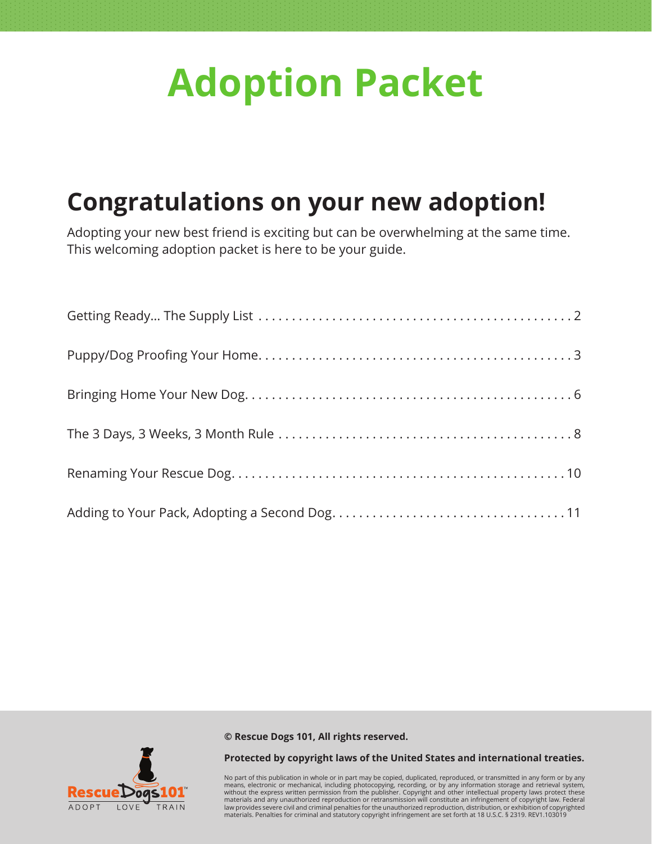# **Adoption Packet**

### **Congratulations on your new adoption!**

Adopting your new best friend is exciting but can be overwhelming at the same time. This welcoming adoption packet is here to be your guide.

**© Rescue Dogs 101, All rights reserved.** 



#### **Protected by copyright laws of the United States and international treaties.**

No part of this publication in whole or in part may be copied, duplicated, reproduced, or transmitted in any form or by any<br>means, electronic or mechanical, including photocopying, recording, or by any information storage materials and any unauthorized reproduction or retransmission will constitute an infringement of copyright law. Federal<br>law provides severe civil and criminal penalties for the unauthorized reproduction, distribution, or e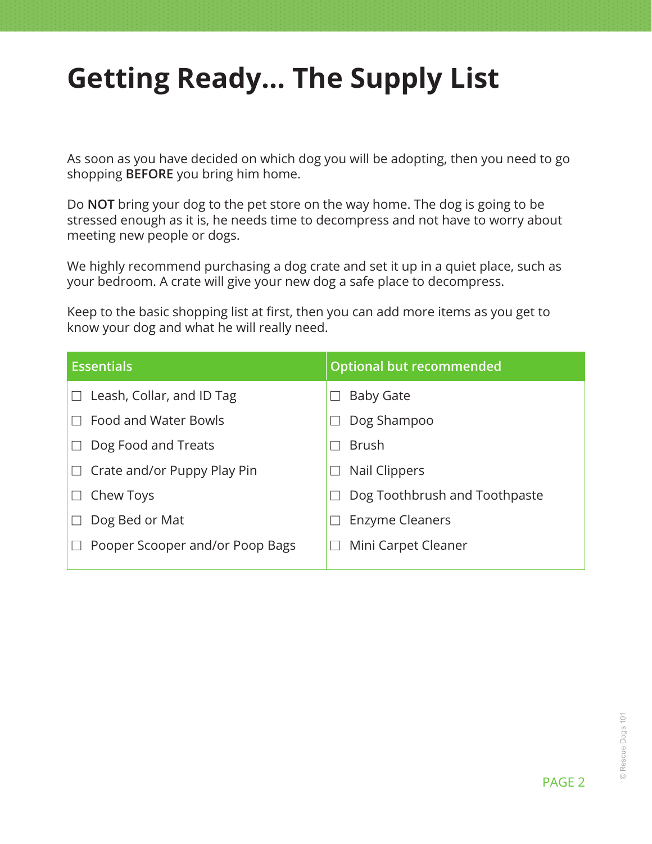# <span id="page-1-0"></span>**Getting Ready… The Supply List**

As soon as you have decided on which dog you will be adopting, then you need to go shopping **BEFORE** you bring him home.

Do **NOT** bring your dog to the pet store on the way home. The dog is going to be stressed enough as it is, he needs time to decompress and not have to worry about meeting new people or dogs.

We highly recommend purchasing a dog crate and set it up in a quiet place, such as your bedroom. A crate will give your new dog a safe place to decompress.

Keep to the basic shopping list at first, then you can add more items as you get to know your dog and what he will really need.

| <b>Essentials</b>                | <b>Optional but recommended</b> |
|----------------------------------|---------------------------------|
| Leash, Collar, and ID Tag        | <b>Baby Gate</b>                |
| <b>Food and Water Bowls</b>      | Dog Shampoo                     |
| Dog Food and Treats              | <b>Brush</b>                    |
| Crate and/or Puppy Play Pin<br>⊔ | <b>Nail Clippers</b>            |
| Chew Toys                        | Dog Toothbrush and Toothpaste   |
| Dog Bed or Mat                   | <b>Enzyme Cleaners</b>          |
| Pooper Scooper and/or Poop Bags  | Mini Carpet Cleaner             |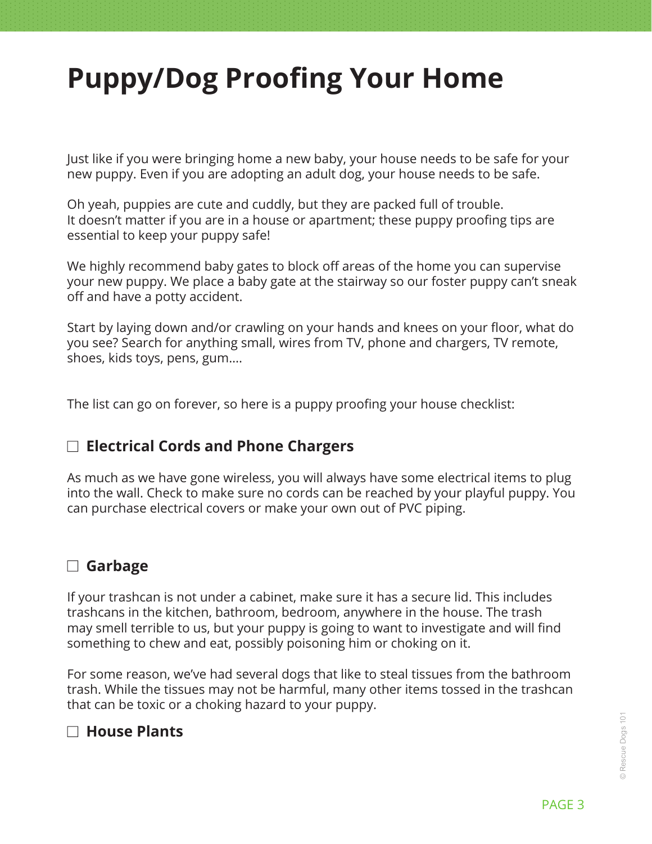# <span id="page-2-0"></span>**Puppy/Dog Proofing Your Home**

Just like if you were bringing home a new baby, your house needs to be safe for your new puppy. Even if you are adopting an adult dog, your house needs to be safe.

Oh yeah, puppies are cute and cuddly, but they are packed full of trouble. It doesn't matter if you are in a house or apartment; these puppy proofing tips are essential to keep your puppy safe!

We highly recommend baby gates to block off areas of the home you can supervise your new puppy. We place a baby gate at the stairway so our foster puppy can't sneak off and have a potty accident.

Start by laying down and/or crawling on your hands and knees on your floor, what do you see? Search for anything small, wires from TV, phone and chargers, TV remote, shoes, kids toys, pens, gum….

The list can go on forever, so here is a puppy proofing your house checklist:

#### □ Electrical Cords and Phone Chargers

As much as we have gone wireless, you will always have some electrical items to plug into the wall. Check to make sure no cords can be reached by your playful puppy. You can purchase electrical covers or make your own out of PVC piping.

#### n **Garbage**

If your trashcan is not under a cabinet, make sure it has a secure lid. This includes trashcans in the kitchen, bathroom, bedroom, anywhere in the house. The trash may smell terrible to us, but your puppy is going to want to investigate and will find something to chew and eat, possibly poisoning him or choking on it.

For some reason, we've had several dogs that like to steal tissues from the bathroom trash. While the tissues may not be harmful, many other items tossed in the trashcan that can be toxic or a choking hazard to your puppy.

#### n **House Plants**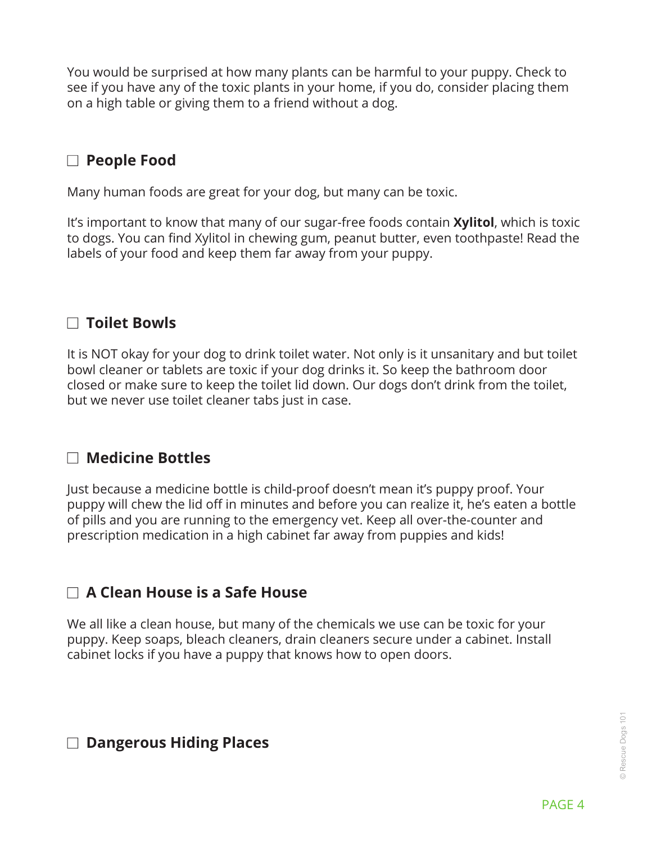You would be surprised at how many plants can be harmful to your puppy. Check to see if you have any of the toxic plants in your home, if you do, consider placing them on a high table or giving them to a friend without a dog.

#### □ People Food

Many human foods are great for your dog, but many can be toxic.

It's important to know that many of our sugar-free foods contain **Xylitol**, which is toxic to dogs. You can find Xylitol in chewing gum, peanut butter, even toothpaste! Read the labels of your food and keep them far away from your puppy.

#### n **Toilet Bowls**

It is NOT okay for your dog to drink toilet water. Not only is it unsanitary and but toilet bowl cleaner or tablets are toxic if your dog drinks it. So keep the bathroom door closed or make sure to keep the toilet lid down. Our dogs don't drink from the toilet, but we never use toilet cleaner tabs just in case.

#### n **Medicine Bottles**

Just because a medicine bottle is child-proof doesn't mean it's puppy proof. Your puppy will chew the lid off in minutes and before you can realize it, he's eaten a bottle of pills and you are running to the emergency vet. Keep all over-the-counter and prescription medication in a high cabinet far away from puppies and kids!

### n **A Clean House is a Safe House**

We all like a clean house, but many of the chemicals we use can be toxic for your puppy. Keep soaps, bleach cleaners, drain cleaners secure under a cabinet. Install cabinet locks if you have a puppy that knows how to open doors.

#### □ Dangerous Hiding Places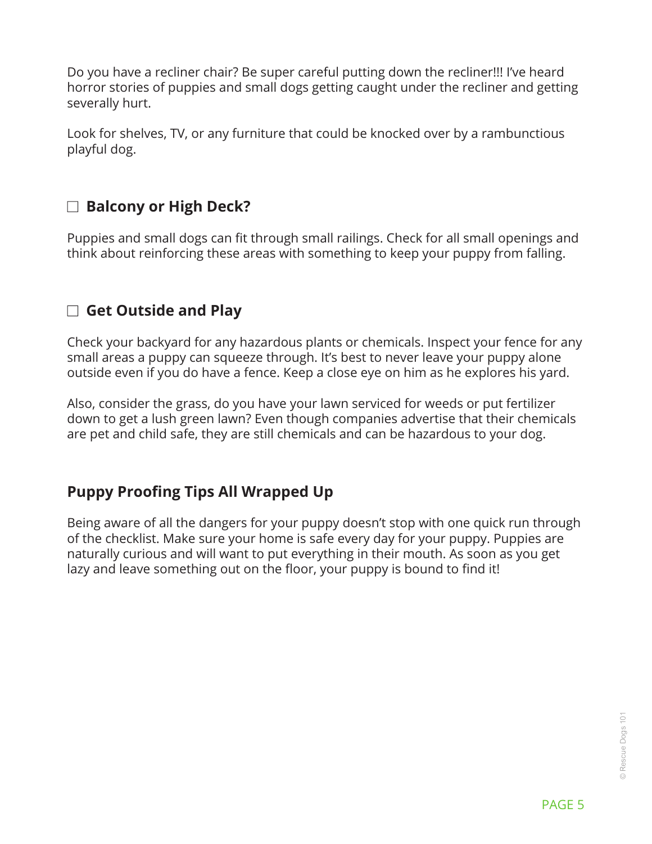Do you have a recliner chair? Be super careful putting down the recliner!!! I've heard horror stories of puppies and small dogs getting caught under the recliner and getting severally hurt.

Look for shelves, TV, or any furniture that could be knocked over by a rambunctious playful dog.

### □ Balcony or High Deck?

Puppies and small dogs can fit through small railings. Check for all small openings and think about reinforcing these areas with something to keep your puppy from falling.

### □ Get Outside and Play

Check your backyard for any hazardous plants or chemicals. Inspect your fence for any small areas a puppy can squeeze through. It's best to never leave your puppy alone outside even if you do have a fence. Keep a close eye on him as he explores his yard.

Also, consider the grass, do you have your lawn serviced for weeds or put fertilizer down to get a lush green lawn? Even though companies advertise that their chemicals are pet and child safe, they are still chemicals and can be hazardous to your dog.

### **Puppy Proofing Tips All Wrapped Up**

Being aware of all the dangers for your puppy doesn't stop with one quick run through of the checklist. Make sure your home is safe every day for your puppy. Puppies are naturally curious and will want to put everything in their mouth. As soon as you get lazy and leave something out on the floor, your puppy is bound to find it!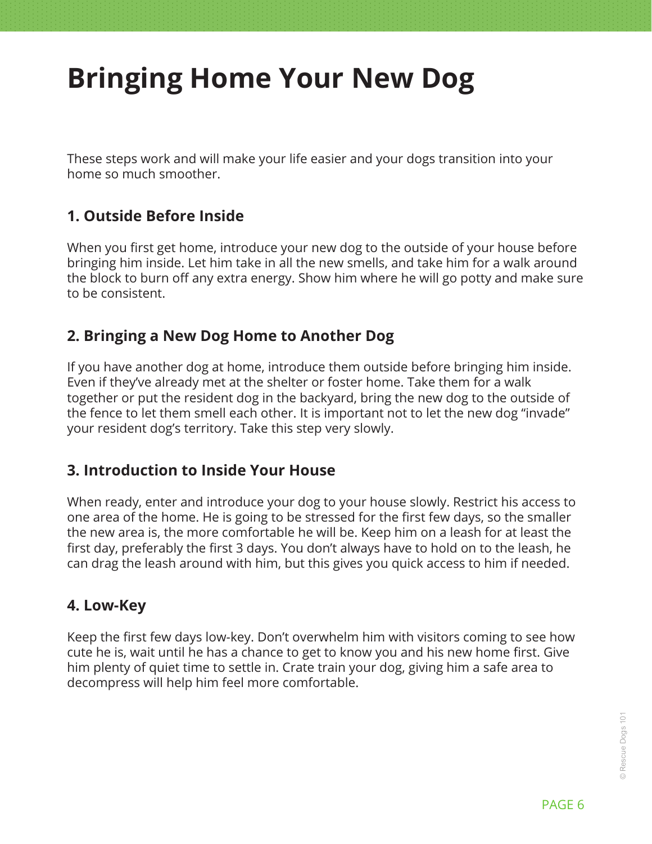# <span id="page-5-0"></span>**Bringing Home Your New Dog**

These steps work and will make your life easier and your dogs transition into your home so much smoother.

### **1. Outside Before Inside**

When you first get home, introduce your new dog to the outside of your house before bringing him inside. Let him take in all the new smells, and take him for a walk around the block to burn off any extra energy. Show him where he will go potty and make sure to be consistent.

#### **2. Bringing a New Dog Home to Another Dog**

If you have another dog at home, introduce them outside before bringing him inside. Even if they've already met at the shelter or foster home. Take them for a walk together or put the resident dog in the backyard, bring the new dog to the outside of the fence to let them smell each other. It is important not to let the new dog "invade" your resident dog's territory. Take this step very slowly.

#### **3. Introduction to Inside Your House**

When ready, enter and introduce your dog to your house slowly. Restrict his access to one area of the home. He is going to be stressed for the first few days, so the smaller the new area is, the more comfortable he will be. Keep him on a leash for at least the first day, preferably the first 3 days. You don't always have to hold on to the leash, he can drag the leash around with him, but this gives you quick access to him if needed.

#### **4. Low-Key**

Keep the first few days low-key. Don't overwhelm him with visitors coming to see how cute he is, wait until he has a chance to get to know you and his new home first. Give him plenty of quiet time to settle in. Crate train your dog, giving him a safe area to decompress will help him feel more comfortable.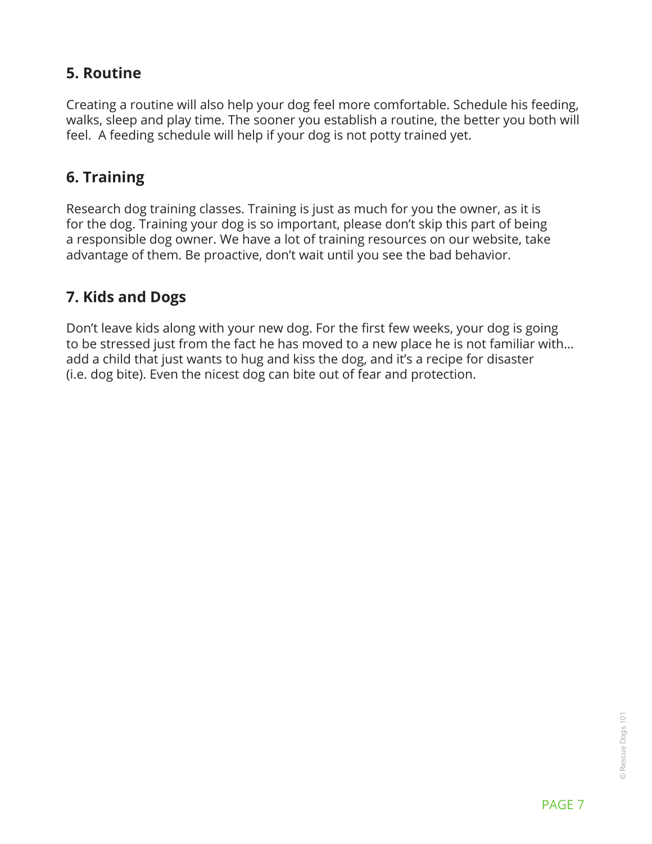### **5. Routine**

Creating a routine will also help your dog feel more comfortable. Schedule his feeding, walks, sleep and play time. The sooner you establish a routine, the better you both will feel. A feeding schedule will help if your dog is not potty trained yet.

### **6. Training**

Research dog training classes. Training is just as much for you the owner, as it is for the dog. Training your dog is so important, please don't skip this part of being a responsible dog owner. We have a lot of training resources on our website, take advantage of them. Be proactive, don't wait until you see the bad behavior.

#### **7. Kids and Dogs**

Don't leave kids along with your new dog. For the first few weeks, your dog is going to be stressed just from the fact he has moved to a new place he is not familiar with… add a child that just wants to hug and kiss the dog, and it's a recipe for disaster (i.e. dog bite). Even the nicest dog can bite out of fear and protection.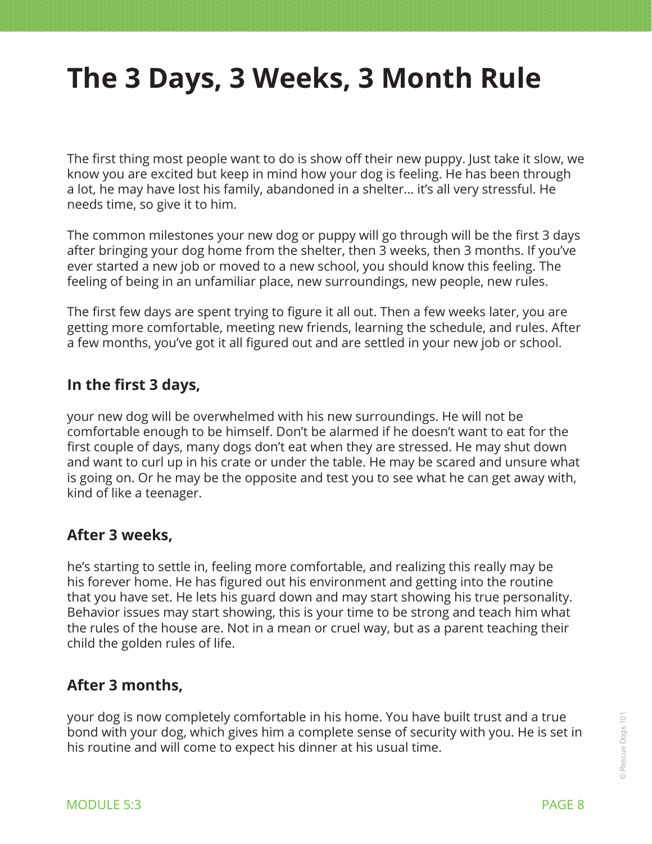### <span id="page-7-0"></span>**The 3 Days, 3 Weeks, 3 Month Rule**

The first thing most people want to do is show off their new puppy. Just take it slow, we know you are excited but keep in mind how your dog is feeling. He has been through a lot, he may have lost his family, abandoned in a shelter… it's all very stressful. He needs time, so give it to him.

The common milestones your new dog or puppy will go through will be the first 3 days after bringing your dog home from the shelter, then 3 weeks, then 3 months. If you've ever started a new job or moved to a new school, you should know this feeling. The feeling of being in an unfamiliar place, new surroundings, new people, new rules.

The first few days are spent trying to figure it all out. Then a few weeks later, you are getting more comfortable, meeting new friends, learning the schedule, and rules. After a few months, you've got it all figured out and are settled in your new job or school.

#### **In the first 3 days,**

your new dog will be overwhelmed with his new surroundings. He will not be comfortable enough to be himself. Don't be alarmed if he doesn't want to eat for the first couple of days, many dogs don't eat when they are stressed. He may shut down and want to curl up in his crate or under the table. He may be scared and unsure what is going on. Or he may be the opposite and test you to see what he can get away with, kind of like a teenager.

#### **After 3 weeks,**

he's starting to settle in, feeling more comfortable, and realizing this really may be his forever home. He has figured out his environment and getting into the routine that you have set. He lets his guard down and may start showing his true personality. Behavior issues may start showing, this is your time to be strong and teach him what the rules of the house are. Not in a mean or cruel way, but as a parent teaching their child the golden rules of life.

#### **After 3 months,**

your dog is now completely comfortable in his home. You have built trust and a true bond with your dog, which gives him a complete sense of security with you. He is set in his routine and will come to expect his dinner at his usual time.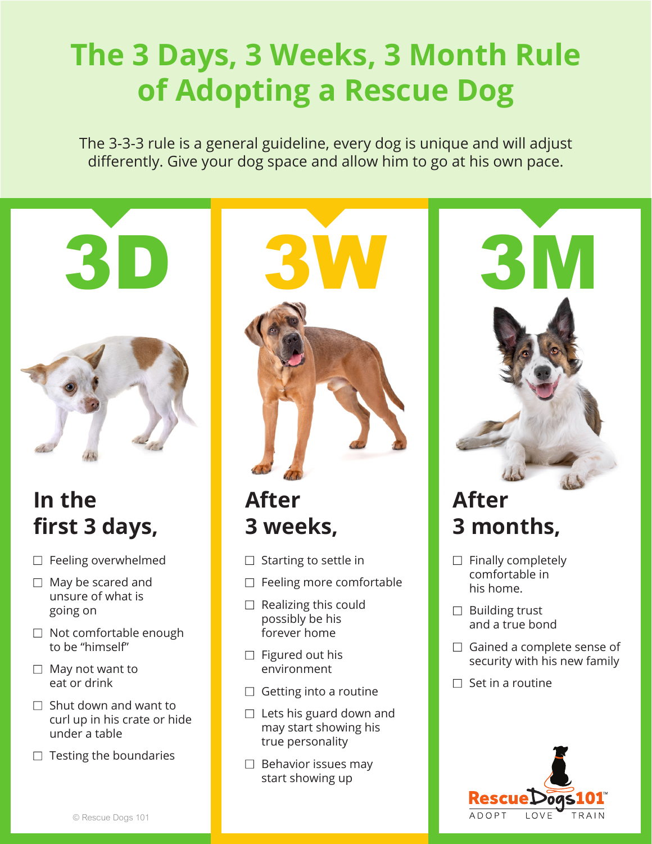# **The 3 Days, 3 Weeks, 3 Month Rule of Adopting a Rescue Dog**

The 3-3-3 rule is a general guideline, every dog is unique and will adjust differently. Give your dog space and allow him to go at his own pace.



### **In the first 3 days,**

- $\Box$  Feeling overwhelmed
- $\Box$  May be scared and unsure of what is going on
- $\Box$  Not comfortable enough to be "himself"
- $\Box$  May not want to eat or drink
- $\Box$  Shut down and want to curl up in his crate or hide under a table
- $\Box$  Testing the boundaries



### **After 3 weeks,**

- $\Box$  Starting to settle in
- $\Box$  Feeling more comfortable
- $\Box$  Realizing this could possibly be his forever home
- $\Box$  Figured out his environment
- $\Box$  Getting into a routine
- $\Box$  Lets his guard down and may start showing his true personality
- $\Box$  Behavior issues may start showing up



### **After 3 months,**

- $\Box$  Finally completely comfortable in his home.
- $\Box$  Building trust and a true bond
- $\Box$  Gained a complete sense of security with his new family
- $\Box$  Set in a routine

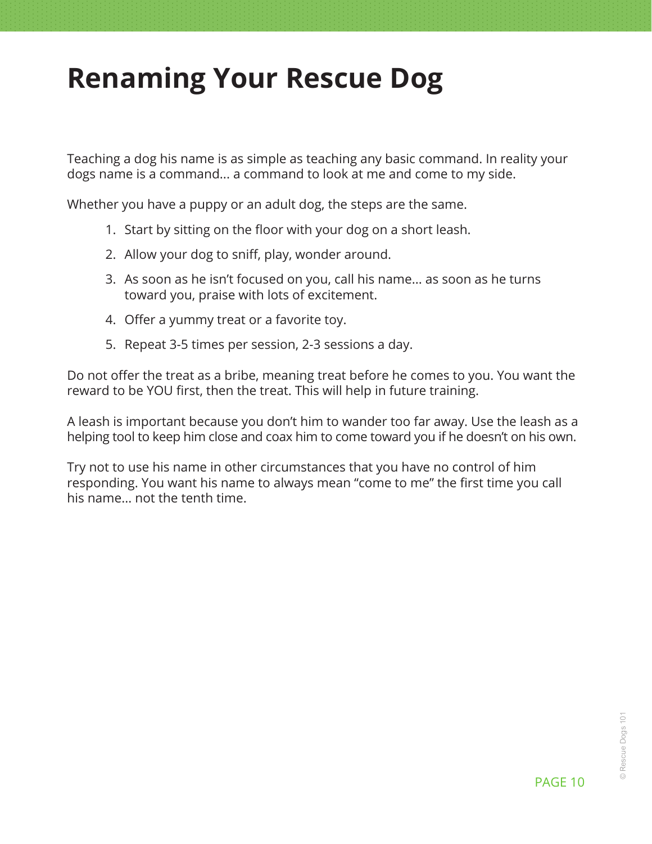### <span id="page-9-0"></span>**Renaming Your Rescue Dog**

Teaching a dog his name is as simple as teaching any basic command. In reality your dogs name is a command... a command to look at me and come to my side.

Whether you have a puppy or an adult dog, the steps are the same.

- 1. Start by sitting on the floor with your dog on a short leash.
- 2. Allow your dog to sniff, play, wonder around.
- 3. As soon as he isn't focused on you, call his name... as soon as he turns toward you, praise with lots of excitement.
- 4. Offer a yummy treat or a favorite toy.
- 5. Repeat 3-5 times per session, 2-3 sessions a day.

Do not offer the treat as a bribe, meaning treat before he comes to you. You want the reward to be YOU first, then the treat. This will help in future training.

A leash is important because you don't him to wander too far away. Use the leash as a helping tool to keep him close and coax him to come toward you if he doesn't on his own.

Try not to use his name in other circumstances that you have no control of him responding. You want his name to always mean "come to me" the first time you call his name... not the tenth time.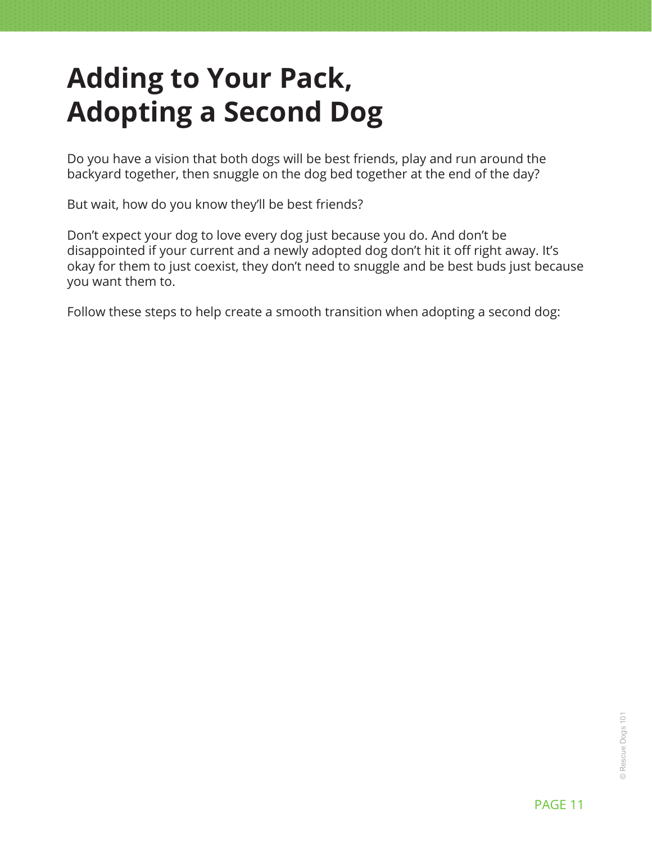# <span id="page-10-0"></span>**Adding to Your Pack, Adopting a Second Dog**

Do you have a vision that both dogs will be best friends, play and run around the backyard together, then snuggle on the dog bed together at the end of the day?

But wait, how do you know they'll be best friends?

Don't expect your dog to love every dog just because you do. And don't be disappointed if your current and a newly adopted dog don't hit it off right away. It's okay for them to just coexist, they don't need to snuggle and be best buds just because you want them to.

Follow these steps to help create a smooth transition when adopting a second dog: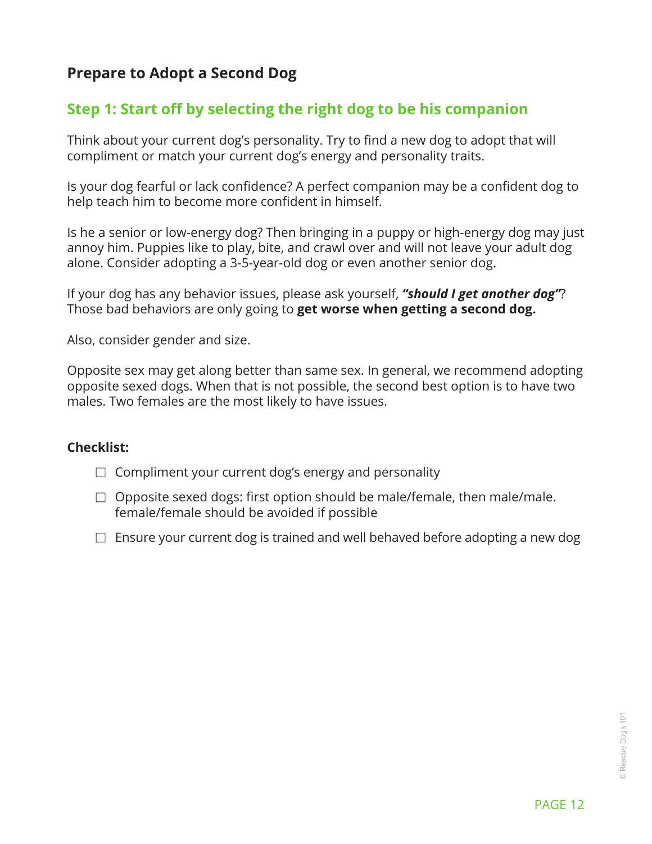### **Prepare to Adopt a Second Dog**

#### **Step 1: Start off by selecting the right dog to be his companion**

Think about your current dog's personality. Try to find a new dog to adopt that will compliment or match your current dog's energy and personality traits.

Is your dog fearful or lack confidence? A perfect companion may be a confident dog to help teach him to become more confident in himself.

Is he a senior or low-energy dog? Then bringing in a puppy or high-energy dog may just annoy him. Puppies like to play, bite, and crawl over and will not leave your adult dog alone. Consider adopting a 3-5-year-old dog or even another senior dog.

If your dog has any behavior issues, please ask yourself, *"should I get another dog"*? Those bad behaviors are only going to **get worse when getting a second dog.**

Also, consider gender and size.

Opposite sex may get along better than same sex. In general, we recommend adopting opposite sexed dogs. When that is not possible, the second best option is to have two males. Two females are the most likely to have issues.

#### **Checklist:**

- $\Box$  Compliment your current dog's energy and personality
- $\Box$  Opposite sexed dogs: first option should be male/female, then male/male. female/female should be avoided if possible
- $\Box$  Ensure your current dog is trained and well behaved before adopting a new dog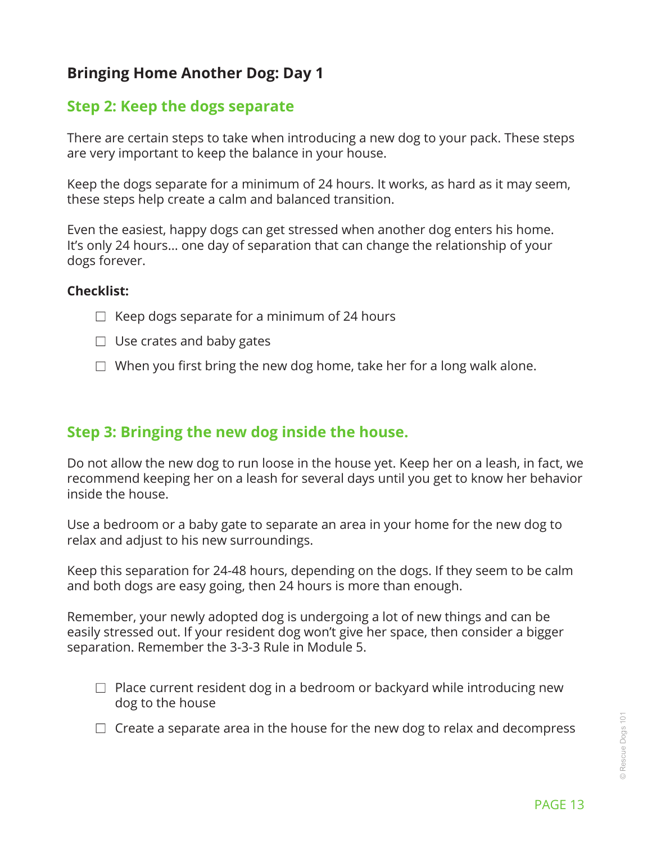#### **Bringing Home Another Dog: Day 1**

#### **Step 2: Keep the dogs separate**

There are certain steps to take when introducing a new dog to your pack. These steps are very important to keep the balance in your house.

Keep the dogs separate for a minimum of 24 hours. It works, as hard as it may seem, these steps help create a calm and balanced transition.

Even the easiest, happy dogs can get stressed when another dog enters his home. It's only 24 hours... one day of separation that can change the relationship of your dogs forever.

#### **Checklist:**

- $\Box$  Keep dogs separate for a minimum of 24 hours
- $\Box$  Use crates and baby gates
- $\Box$  When you first bring the new dog home, take her for a long walk alone.

#### **Step 3: Bringing the new dog inside the house.**

Do not allow the new dog to run loose in the house yet. Keep her on a leash, in fact, we recommend keeping her on a leash for several days until you get to know her behavior inside the house.

Use a bedroom or a baby gate to separate an area in your home for the new dog to relax and adjust to his new surroundings.

Keep this separation for 24-48 hours, depending on the dogs. If they seem to be calm and both dogs are easy going, then 24 hours is more than enough.

Remember, your newly adopted dog is undergoing a lot of new things and can be easily stressed out. If your resident dog won't give her space, then consider a bigger separation. Remember the 3-3-3 Rule in Module 5.

- $\Box$  Place current resident dog in a bedroom or backyard while introducing new dog to the house
- $\Box$  Create a separate area in the house for the new dog to relax and decompress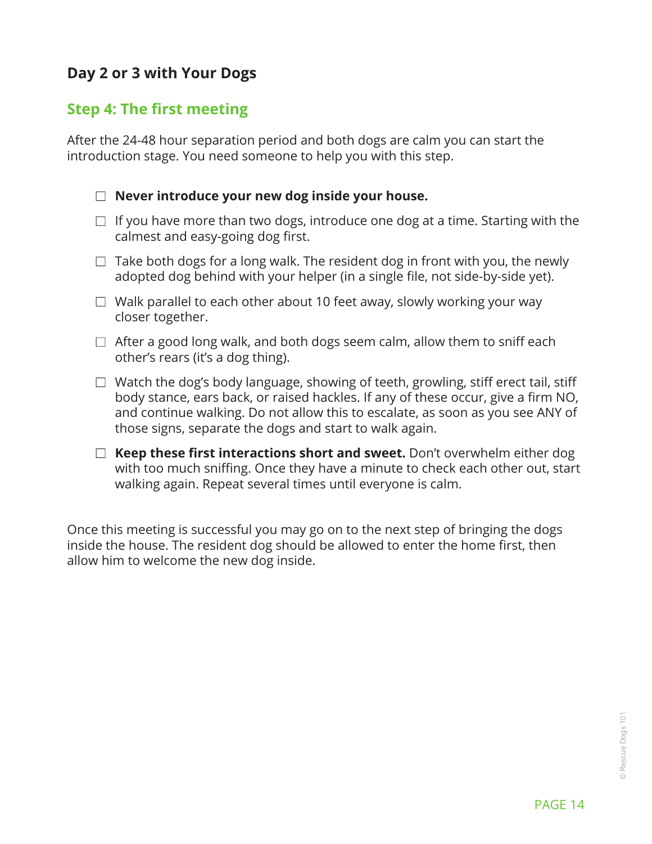### **Day 2 or 3 with Your Dogs**

#### **Step 4: The first meeting**

After the 24-48 hour separation period and both dogs are calm you can start the introduction stage. You need someone to help you with this step.

#### □ Never introduce your new dog inside your house.

- $\Box$  If you have more than two dogs, introduce one dog at a time. Starting with the calmest and easy-going dog first.
- $\Box$  Take both dogs for a long walk. The resident dog in front with you, the newly adopted dog behind with your helper (in a single file, not side-by-side yet).
- $\Box$  Walk parallel to each other about 10 feet away, slowly working your way closer together.
- $\Box$  After a good long walk, and both dogs seem calm, allow them to sniff each other's rears (it's a dog thing).
- $\Box$  Watch the dog's body language, showing of teeth, growling, stiff erect tail, stiff body stance, ears back, or raised hackles. If any of these occur, give a firm NO, and continue walking. Do not allow this to escalate, as soon as you see ANY of those signs, separate the dogs and start to walk again.
- □ **Keep these first interactions short and sweet.** Don't overwhelm either dog with too much sniffing. Once they have a minute to check each other out, start walking again. Repeat several times until everyone is calm.

Once this meeting is successful you may go on to the next step of bringing the dogs inside the house. The resident dog should be allowed to enter the home first, then allow him to welcome the new dog inside.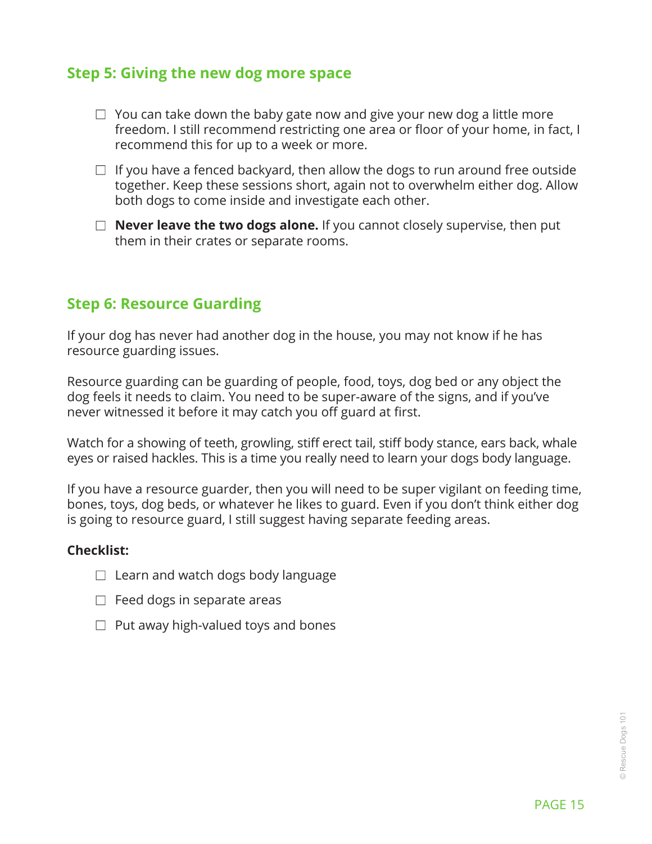#### **Step 5: Giving the new dog more space**

- $\Box$  You can take down the baby gate now and give your new dog a little more freedom. I still recommend restricting one area or floor of your home, in fact, I recommend this for up to a week or more.
- $\Box$  If you have a fenced backyard, then allow the dogs to run around free outside together. Keep these sessions short, again not to overwhelm either dog. Allow both dogs to come inside and investigate each other.
- $\Box$  **Never leave the two dogs alone.** If you cannot closely supervise, then put them in their crates or separate rooms.

#### **Step 6: Resource Guarding**

If your dog has never had another dog in the house, you may not know if he has resource guarding issues.

Resource guarding can be guarding of people, food, toys, dog bed or any object the dog feels it needs to claim. You need to be super-aware of the signs, and if you've never witnessed it before it may catch you off guard at first.

Watch for a showing of teeth, growling, stiff erect tail, stiff body stance, ears back, whale eyes or raised hackles. This is a time you really need to learn your dogs body language.

If you have a resource guarder, then you will need to be super vigilant on feeding time, bones, toys, dog beds, or whatever he likes to guard. Even if you don't think either dog is going to resource guard, I still suggest having separate feeding areas.

#### **Checklist:**

- $\Box$  Learn and watch dogs body language
- $\Box$  Feed dogs in separate areas
- $\Box$  Put away high-valued toys and bones